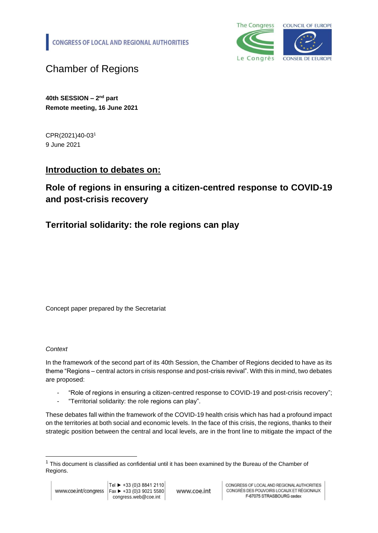**CONGRESS OF LOCAL AND REGIONAL AUTHORITIES** 



Chamber of Regions

**40th SESSION – 2 nd part Remote meeting, 16 June 2021**

CPR(2021)40-03<sup>1</sup> 9 June 2021

## **Introduction to debates on:**

# **Role of regions in ensuring a citizen-centred response to COVID-19 and post-crisis recovery**

## **Territorial solidarity: the role regions can play**

Concept paper prepared by the Secretariat

### *Context*

In the framework of the second part of its 40th Session, the Chamber of Regions decided to have as its theme "Regions – central actors in crisis response and post-crisis revival". With this in mind, two debates are proposed:

- "Role of regions in ensuring a citizen-centred response to COVID-19 and post-crisis recovery";
- "Territorial solidarity: the role regions can play".

These debates fall within the framework of the COVID-19 health crisis which has had a profound impact on the territories at both social and economic levels. In the face of this crisis, the regions, thanks to their strategic position between the central and local levels, are in the front line to mitigate the impact of the

www.coe.int

 $1$  This document is classified as confidential until it has been examined by the Bureau of the Chamber of Regions.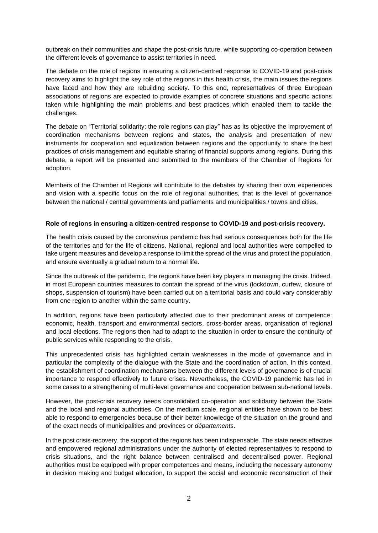outbreak on their communities and shape the post-crisis future, while supporting co-operation between the different levels of governance to assist territories in need.

The debate on the role of regions in ensuring a citizen-centred response to COVID-19 and post-crisis recovery aims to highlight the key role of the regions in this health crisis, the main issues the regions have faced and how they are rebuilding society. To this end, representatives of three European associations of regions are expected to provide examples of concrete situations and specific actions taken while highlighting the main problems and best practices which enabled them to tackle the challenges.

The debate on "Territorial solidarity: the role regions can play" has as its objective the improvement of coordination mechanisms between regions and states, the analysis and presentation of new instruments for cooperation and equalization between regions and the opportunity to share the best practices of crisis management and equitable sharing of financial supports among regions. During this debate, a report will be presented and submitted to the members of the Chamber of Regions for adoption.

Members of the Chamber of Regions will contribute to the debates by sharing their own experiences and vision with a specific focus on the role of regional authorities, that is the level of governance between the national / central governments and parliaments and municipalities / towns and cities.

### **Role of regions in ensuring a citizen-centred response to COVID-19 and post-crisis recovery.**

The health crisis caused by the coronavirus pandemic has had serious consequences both for the life of the territories and for the life of citizens. National, regional and local authorities were compelled to take urgent measures and develop a response to limit the spread of the virus and protect the population, and ensure eventually a gradual return to a normal life.

Since the outbreak of the pandemic, the regions have been key players in managing the crisis. Indeed, in most European countries measures to contain the spread of the virus (lockdown, curfew, closure of shops, suspension of tourism) have been carried out on a territorial basis and could vary considerably from one region to another within the same country.

In addition, regions have been particularly affected due to their predominant areas of competence: economic, health, transport and environmental sectors, cross-border areas, organisation of regional and local elections. The regions then had to adapt to the situation in order to ensure the continuity of public services while responding to the crisis.

This unprecedented crisis has highlighted certain weaknesses in the mode of governance and in particular the complexity of the dialogue with the State and the coordination of action. In this context, the establishment of coordination mechanisms between the different levels of governance is of crucial importance to respond effectively to future crises. Nevertheless, the COVID-19 pandemic has led in some cases to a strengthening of multi-level governance and cooperation between sub-national levels.

However, the post-crisis recovery needs consolidated co-operation and solidarity between the State and the local and regional authorities. On the medium scale, regional entities have shown to be best able to respond to emergencies because of their better knowledge of the situation on the ground and of the exact needs of municipalities and provinces or *départements*.

In the post crisis-recovery, the support of the regions has been indispensable. The state needs effective and empowered regional administrations under the authority of elected representatives to respond to crisis situations, and the right balance between centralised and decentralised power. Regional authorities must be equipped with proper competences and means, including the necessary autonomy in decision making and budget allocation, to support the social and economic reconstruction of their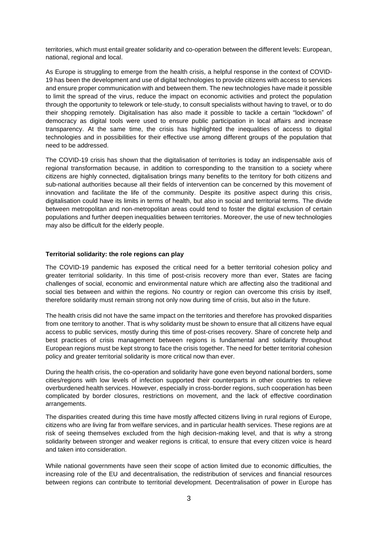territories, which must entail greater solidarity and co-operation between the different levels: European, national, regional and local.

As Europe is struggling to emerge from the health crisis, a helpful response in the context of COVID-19 has been the development and use of digital technologies to provide citizens with access to services and ensure proper communication with and between them. The new technologies have made it possible to limit the spread of the virus, reduce the impact on economic activities and protect the population through the opportunity to telework or tele-study, to consult specialists without having to travel, or to do their shopping remotely. Digitalisation has also made it possible to tackle a certain "lockdown" of democracy as digital tools were used to ensure public participation in local affairs and increase transparency. At the same time, the crisis has highlighted the inequalities of access to digital technologies and in possibilities for their effective use among different groups of the population that need to be addressed.

The COVID-19 crisis has shown that the digitalisation of territories is today an indispensable axis of regional transformation because, in addition to corresponding to the transition to a society where citizens are highly connected, digitalisation brings many benefits to the territory for both citizens and sub-national authorities because all their fields of intervention can be concerned by this movement of innovation and facilitate the life of the community. Despite its positive aspect during this crisis, digitalisation could have its limits in terms of health, but also in social and territorial terms. The divide between metropolitan and non-metropolitan areas could tend to foster the digital exclusion of certain populations and further deepen inequalities between territories. Moreover, the use of new technologies may also be difficult for the elderly people.

### **Territorial solidarity: the role regions can play**

The COVID-19 pandemic has exposed the critical need for a better territorial cohesion policy and greater territorial solidarity. In this time of post-crisis recovery more than ever, States are facing challenges of social, economic and environmental nature which are affecting also the traditional and social ties between and within the regions. No country or region can overcome this crisis by itself, therefore solidarity must remain strong not only now during time of crisis, but also in the future.

The health crisis did not have the same impact on the territories and therefore has provoked disparities from one territory to another. That is why solidarity must be shown to ensure that all citizens have equal access to public services, mostly during this time of post-crises recovery. Share of concrete help and best practices of crisis management between regions is fundamental and solidarity throughout European regions must be kept strong to face the crisis together. The need for better territorial cohesion policy and greater territorial solidarity is more critical now than ever.

During the health crisis, the co-operation and solidarity have gone even beyond national borders, some cities/regions with low levels of infection supported their counterparts in other countries to relieve overburdened health services. However, especially in cross-border regions, such cooperation has been complicated by border closures, restrictions on movement, and the lack of effective coordination arrangements.

The disparities created during this time have mostly affected citizens living in rural regions of Europe, citizens who are living far from welfare services, and in particular health services. These regions are at risk of seeing themselves excluded from the high decision-making level, and that is why a strong solidarity between stronger and weaker regions is critical, to ensure that every citizen voice is heard and taken into consideration.

While national governments have seen their scope of action limited due to economic difficulties, the increasing role of the EU and decentralisation, the redistribution of services and financial resources between regions can contribute to territorial development. Decentralisation of power in Europe has